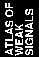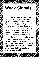### **Weak Signals**

It is an early indicator of change which has little or no impact in the present day, but has the potential to cause a large change, triggering major events in the future. It can be defined as a trend before a trend, a controversy over a topic, an intermittent start, a soft causality between scales, a set of powerless initiators-visionaries. It is an early vector of currently small changes, presaging strategic discontinuities, that can lead to the identifications of high impact events that seem too unlikely to happen, and can be a rich source for further research. It can also be referred as black swan or wild card.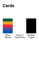

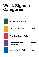### **Weak Signals Categories**



Life after AI - The end of Work

After the Nation-State

Life in the times of Surveillance **Capitalism** 

Design for the Anthropocene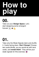## **How the play**

Take out your **Design Space**. Let's start designing some emergent futures!  $\hat{\mathbf{X}} \circ \hat{\mathbf{L}}$ **00.**

### **01.**

Take only the Weak Signals deck and shuffle it. Cards facing down. **Don't Snoop!** Choose two cards blindly, as you would do with tarot cards, and **reveal them!** They will be your weak signals for this exercise.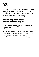Place your chosen **Weak Signals** on your **Design Space** , face up, on the boxes marked 01 and 02 respectively, and take **10 min** to discuss them with your team.

#### **What do they mean for you? What do you think they are?**

This is just a starter, you'll go into more depth later.

Use a mini-sand clock to control the downpour of ideas that this can generate at this point, and we're only just starting!  $\blacktriangleright$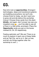Now let's look at **opportunities.** Emergent technologies, ideas and transitional systems are bubbling everywhere, but we'll only choose three for today, we don't want you to grow old and die before this workshop it'sover! Choose three cards from this deck **blindly**, and again, don't snoop! (we see you impatient ones  $\odot$ ... you'll be able to see all of them in a little while, promised.) Place the **Opportunity** cards you got on the boxes marked 03, 04, 05 respectively.

Feeling optimistic yet? We are! There is so much to explore in each one of these fields and as Fab City, we're on it. Ask us how, and let's do things together after the workshop is over :)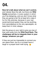**Now let's talk about what we can't control,** and nobody likes this talk, but there are **Wild Cards** everywhere, in every system in which you'll be designing, and you don't know what they are going to be! So at least let's make it fun for this exercise, because in your real social-technical system they can be anything, from serendipitous to the very apocalyptic, so keep them in mind, always.

Ask the group on your right to give you two of their wild cards from the **Wild Card Deck. The challengue will be to integrate them in your design, whatever you get!**

If they are just too impossible to connect you can spare them, but try or at least have a laugh or a proper brain-melt trying.  $\sqrt{2}$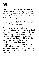**Finally!** We're almost set. Now the final card that is left. The Missing piece, Take the challenge deck and draw just one card blindly, **The** card. This will be your design challenge for today. Whatever you get in this card, you will have to design with your team, taking into account **all the other cards** that you now have in your design space.

Use the space in the middle to draw, prototype, write, place post-its... and **Good**  Luck!  $\bigoplus$  Don't hate us, creating this kind of intervention space between seemigly disparate topics can be hard, but it's bewilderingly exciting, and this is exactly what almost every socio- technical system in existence needs right now in order to survive and thrive in these massive transitional movements of reinvention and crisis: new, unprecedented, ingenious and conscious takes on how to make (almost) everything